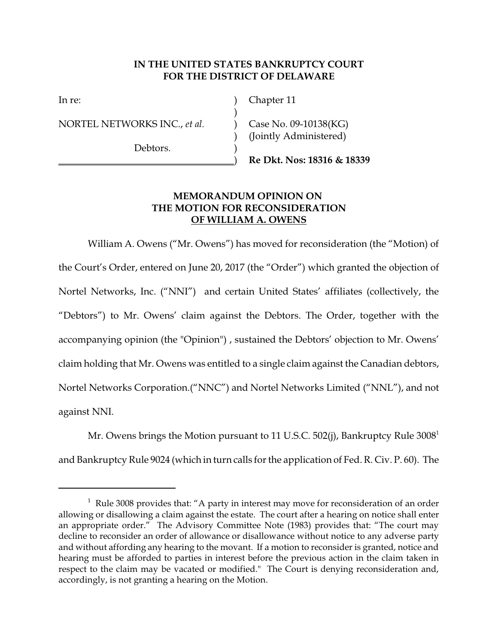## **IN THE UNITED STATES BANKRUPTCY COURT FOR THE DISTRICT OF DELAWARE**

)

NORTEL NETWORKS INC., *et al.* (20) Case No. 09-10138(KG)

Debtors.

In re: (a) Chapter 11

) (Jointly Administered)

\_\_\_\_\_\_\_\_\_\_\_\_\_\_\_\_\_\_\_\_\_\_\_\_\_\_\_\_\_\_\_\_\_\_\_\_) **Re Dkt. Nos: 18316 & 18339**

## **MEMORANDUM OPINION ON THE MOTION FOR RECONSIDERATION OF WILLIAM A. OWENS**

William A. Owens ("Mr. Owens") has moved for reconsideration (the "Motion) of the Court's Order, entered on June 20, 2017 (the "Order") which granted the objection of Nortel Networks, Inc. ("NNI") and certain United States' affiliates (collectively, the "Debtors") to Mr. Owens' claim against the Debtors. The Order, together with the accompanying opinion (the "Opinion") , sustained the Debtors' objection to Mr. Owens' claim holding that Mr. Owens was entitled to a single claim against the Canadian debtors, Nortel Networks Corporation.("NNC") and Nortel Networks Limited ("NNL"), and not against NNI.

Mr. Owens brings the Motion pursuant to 11 U.S.C. 502(j), Bankruptcy Rule  $3008<sup>1</sup>$ and Bankruptcy Rule 9024 (which in turn calls for the application of Fed. R. Civ. P. 60). The

<sup>&</sup>lt;sup>1</sup> Rule 3008 provides that: "A party in interest may move for reconsideration of an order allowing or disallowing a claim against the estate. The court after a hearing on notice shall enter an appropriate order." The Advisory Committee Note (1983) provides that: "The court may decline to reconsider an order of allowance or disallowance without notice to any adverse party and without affording any hearing to the movant. If a motion to reconsider is granted, notice and hearing must be afforded to parties in interest before the previous action in the claim taken in respect to the claim may be vacated or modified." The Court is denying reconsideration and, accordingly, is not granting a hearing on the Motion.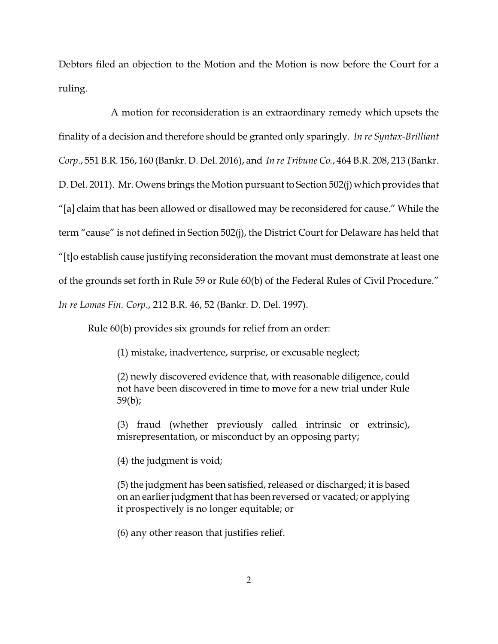Debtors filed an objection to the Motion and the Motion is now before the Court for a ruling.

A motion for reconsideration is an extraordinary remedy which upsets the finality of a decision and therefore should be granted only sparingly. *In re Syntax-Brilliant Corp*., 551 B.R. 156, 160 (Bankr. D. Del. 2016), and *In re Tribune Co.*, 464 B.R. 208, 213 (Bankr. D. Del. 2011). Mr. Owens brings the Motion pursuant to Section 502(j) which provides that "[a] claim that has been allowed or disallowed may be reconsidered for cause." While the term "cause" is not defined in Section 502(j), the District Court for Delaware has held that "[t]o establish cause justifying reconsideration the movant must demonstrate at least one of the grounds set forth in Rule 59 or Rule 60(b) of the Federal Rules of Civil Procedure." *In re Lomas Fin. Corp*., 212 B.R. 46, 52 (Bankr. D. Del. 1997).

Rule 60(b) provides six grounds for relief from an order:

(1) mistake, inadvertence, surprise, or excusable neglect;

(2) newly discovered evidence that, with reasonable diligence, could not have been discovered in time to move for a new trial under Rule 59(b);

(3) fraud (whether previously called intrinsic or extrinsic), misrepresentation, or misconduct by an opposing party;

(4) the judgment is void;

(5) the judgment has been satisfied, released or discharged; it is based on an earlier judgment that has been reversed or vacated; or applying it prospectively is no longer equitable; or

(6) any other reason that justifies relief.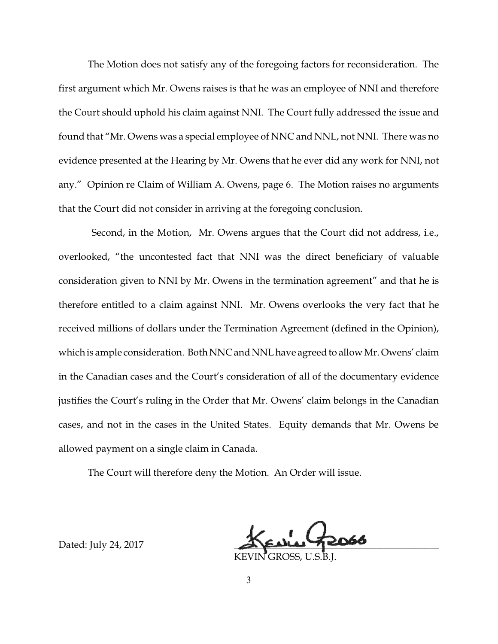The Motion does not satisfy any of the foregoing factors for reconsideration. The first argument which Mr. Owens raises is that he was an employee of NNI and therefore the Court should uphold his claim against NNI. The Court fully addressed the issue and found that "Mr. Owens was a special employee of NNC and NNL, not NNI. There was no evidence presented at the Hearing by Mr. Owens that he ever did any work for NNI, not any." Opinion re Claim of William A. Owens, page 6. The Motion raises no arguments that the Court did not consider in arriving at the foregoing conclusion.

Second, in the Motion, Mr. Owens argues that the Court did not address, i.e., overlooked, "the uncontested fact that NNI was the direct beneficiary of valuable consideration given to NNI by Mr. Owens in the termination agreement" and that he is therefore entitled to a claim against NNI. Mr. Owens overlooks the very fact that he received millions of dollars under the Termination Agreement (defined in the Opinion), which is ample consideration. Both NNC and NNL have agreed to allow Mr. Owens' claim in the Canadian cases and the Court's consideration of all of the documentary evidence justifies the Court's ruling in the Order that Mr. Owens' claim belongs in the Canadian cases, and not in the cases in the United States. Equity demands that Mr. Owens be allowed payment on a single claim in Canada.

The Court will therefore deny the Motion. An Order will issue.

KEVIN GROSS, U.S.B.J.

Dated: July 24, 2017